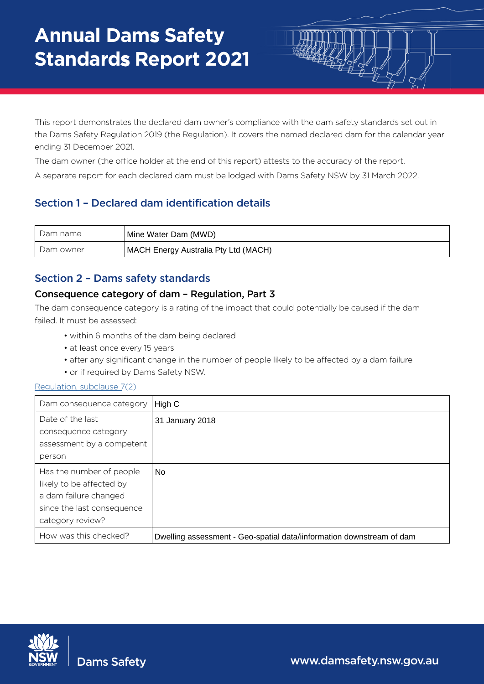This report demonstrates the declared dam owner's compliance with the dam safety standards set out in the Dams Safety Regulation 2019 (the Regulation). It covers the named declared dam for the calendar year ending 31 December 2021.

The dam owner (the office holder at the end of this report) attests to the accuracy of the report.

A separate report for each declared dam must be lodged with Dams Safety NSW by 31 March 2022.

# Section 1 – Declared dam identification details

| Dam name  | Mine Water Dam (MWD)                 |
|-----------|--------------------------------------|
| Dam owner | MACH Energy Australia Pty Ltd (MACH) |

# Section 2 – Dams safety standards

## Consequence category of dam – Regulation, Part 3

The dam consequence category is a rating of the impact that could potentially be caused if the dam failed. It must be assessed:

- within 6 months of the dam being declared
- at least once every 15 years
- after any significant change in the number of people likely to be affected by a dam failure
- or if required by Dams Safety NSW.

#### [Regulation,](https://legislation.nsw.gov.au/view/html/inforce/current/sl-2019-0506#sec.7) subclause 7(2)

| Dam consequence category   | High C                                                                |
|----------------------------|-----------------------------------------------------------------------|
| Date of the last           | 31 January 2018                                                       |
| consequence category       |                                                                       |
| assessment by a competent  |                                                                       |
| person                     |                                                                       |
| Has the number of people   | No.                                                                   |
| likely to be affected by   |                                                                       |
| a dam failure changed      |                                                                       |
| since the last consequence |                                                                       |
| category review?           |                                                                       |
| How was this checked?      | Dwelling assessment - Geo-spatial data/iinformation downstream of dam |



Dams Safety

www.damsafety.nsw.gov.au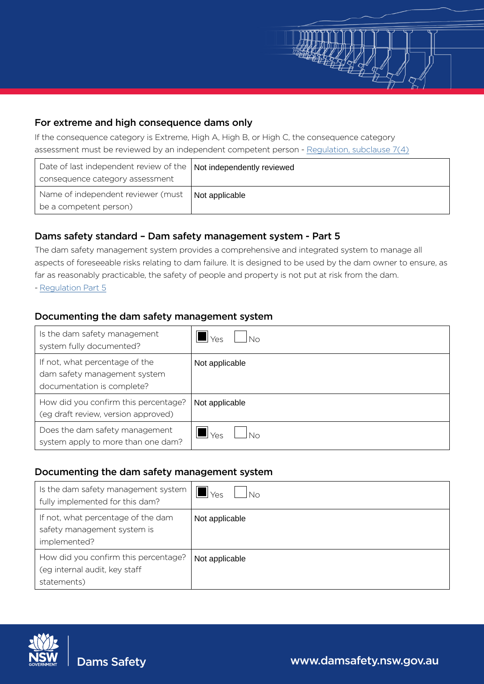

If the consequence category is Extreme, High A, High B, or High C, the consequence category assessment must be reviewed by an independent compet[ent person - Regulation,](https://legislation.nsw.gov.au/view/html/inforce/current/sl-2019-0506#sec.7) subclause 7(4)

| Date of last independent review of the   Not independently reviewed |                |
|---------------------------------------------------------------------|----------------|
| consequence category assessment                                     |                |
| Name of independent reviewer (must<br>be a competent person)        | Not applicable |

## Dams safety standard – Dam safety management system - Part 5

# Documenting the dam safety management system

| Date of last independent review of the<br>consequence category assessment                                                           | Not independently reviewed                                                                                                                                                                                                                                                                                           |
|-------------------------------------------------------------------------------------------------------------------------------------|----------------------------------------------------------------------------------------------------------------------------------------------------------------------------------------------------------------------------------------------------------------------------------------------------------------------|
| Name of independent reviewer (must<br>be a competent person)                                                                        | Not applicable                                                                                                                                                                                                                                                                                                       |
| Dams safety standard - Dam safety management system - Part 5<br>- Regulation Part 5<br>Documenting the dam safety management system | The dam safety management system provides a comprehensive and integrated system to manage all<br>aspects of foreseeable risks relating to dam failure. It is designed to be used by the dam owner to ensure, as<br>far as reasonably practicable, the safety of people and property is not put at risk from the dam. |
| Is the dam safety management<br>system fully documented?                                                                            | $\blacksquare$ Yes<br>No                                                                                                                                                                                                                                                                                             |
| If not, what percentage of the<br>dam safety management system<br>documentation is complete?                                        | Not applicable                                                                                                                                                                                                                                                                                                       |
| How did you confirm this percentage?<br>(eg draft review, version approved)                                                         | Not applicable                                                                                                                                                                                                                                                                                                       |
| Does the dam safety management<br>system apply to more than one dam?                                                                | $\blacksquare$ Yes<br><b>No</b>                                                                                                                                                                                                                                                                                      |
| Documenting the dam safety management system                                                                                        |                                                                                                                                                                                                                                                                                                                      |
| Is the dam safety management system<br>fully implemented for this dam?                                                              | $\blacksquare$ Yes<br>No                                                                                                                                                                                                                                                                                             |
| If not, what percentage of the dam<br>safety management system is<br>implemented?                                                   | Not applicable                                                                                                                                                                                                                                                                                                       |
| How did you confirm this percentage?<br>(eg internal audit, key staff<br>statements)                                                | Not applicable                                                                                                                                                                                                                                                                                                       |
|                                                                                                                                     |                                                                                                                                                                                                                                                                                                                      |
| <b>Dams Safety</b>                                                                                                                  | www.damsafety.nsw.gov.au                                                                                                                                                                                                                                                                                             |

## Documenting the dam safety management system

| Is the dam safety management system<br>fully implemented for this dam?               | "Yes<br>Nο     |
|--------------------------------------------------------------------------------------|----------------|
| If not, what percentage of the dam<br>safety management system is<br>implemented?    | Not applicable |
| How did you confirm this percentage?<br>(eg internal audit, key staff<br>statements) | Not applicable |

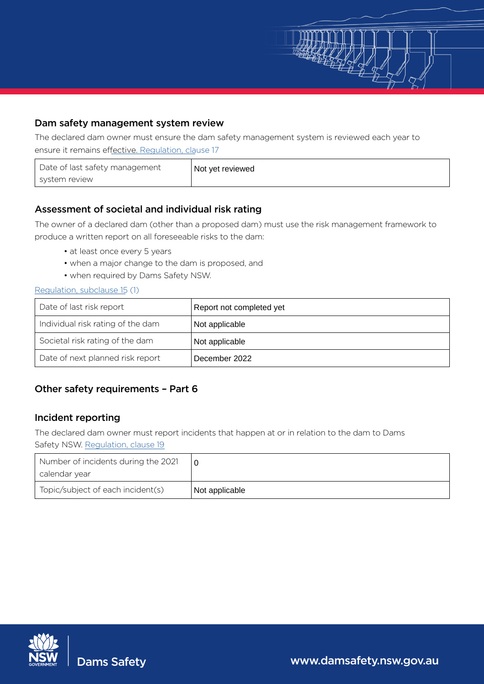

## Dam safety management system review

The declared dam owner must ensure the dam safety management system is reviewed each year to ensure it remains effective. [Regulation,](https://legislation.nsw.gov.au/view/html/inforce/current/sl-2019-0506#sec.17) clause 17

| Date of last safety management | Not yet reviewed |
|--------------------------------|------------------|
| system review                  |                  |

## Assessment of societal and individual risk rating

- at least once every 5 years
- when a major change to the dam is proposed, and
- when required by Dams Safety NSW.

#### [Regulation,](https://legislation.nsw.gov.au/view/html/inforce/current/sl-2019-0506#sec.15) subclause 15 (1)

| Date of last safety management<br>system review                                                                           | Not yet reviewed                                                                                  |
|---------------------------------------------------------------------------------------------------------------------------|---------------------------------------------------------------------------------------------------|
| Assessment of societal and individual risk rating                                                                         |                                                                                                   |
| produce a written report on all foreseeable risks to the dam:                                                             | The owner of a declared dam (other than a proposed dam) must use the risk management framework to |
| • at least once every 5 years<br>• when a major change to the dam is proposed, and<br>• when required by Dams Safety NSW. |                                                                                                   |
| Regulation, subclause 15 (1)                                                                                              |                                                                                                   |
| Date of last risk report                                                                                                  | Report not completed yet                                                                          |
| Individual risk rating of the dam                                                                                         | Not applicable                                                                                    |
| Societal risk rating of the dam                                                                                           | Not applicable                                                                                    |
| Date of next planned risk report                                                                                          | December 2022                                                                                     |
| Safety NSW. Regulation, clause 19<br>Number of incidents during the 2021<br>calendar year                                 | 0                                                                                                 |
| Topic/subject of each incident(s)                                                                                         | Not applicable                                                                                    |
|                                                                                                                           |                                                                                                   |
| <b>Dams Safety</b>                                                                                                        | www.damsafety.nsw.gov.au                                                                          |

## Other safety requirements – Part 6

## Incident reporting

| Number of incidents during the 2021<br>  calendar year |                |
|--------------------------------------------------------|----------------|
| Topic/subject of each incident(s)                      | Not applicable |

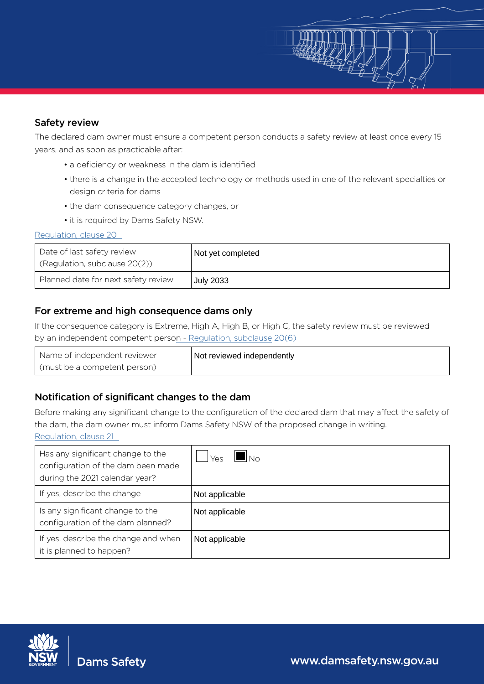## Safety review

The declared dam owner must ensure a competent person conducts a safety review at least once every 15 years, and as soon as practicable after:

- a deficiency or weakness in the dam is identified
- there is a change in the accepted technology or methods used in one of the relevant specialties or design criteria for dams

SAN

- the dam consequence category changes, or
- it is required by Dams Safety NSW.

#### [Regulation](https://legislation.nsw.gov.au/view/html/inforce/current/sl-2019-0506#sec.20), clause 20

| Date of last safety review<br>(Regulation, subclause 20(2)) | <sup>1</sup> Not yet completed |
|-------------------------------------------------------------|--------------------------------|
| Planned date for next safety review                         | <b>July 2033</b>               |

## For extreme and high consequence dams only

| Name of independent reviewer | Not reviewed independently |
|------------------------------|----------------------------|
| (must be a competent person) |                            |

## Notification of significant changes to the dam

| Date of last safety review<br>(Regulation, subclause 20(2))                                                    | Not yet completed                                                                                                                                                                                    |
|----------------------------------------------------------------------------------------------------------------|------------------------------------------------------------------------------------------------------------------------------------------------------------------------------------------------------|
| Planned date for next safety review                                                                            | <b>July 2033</b>                                                                                                                                                                                     |
| For extreme and high consequence dams only<br>by an independent competent person - Regulation, subclause 20(6) | If the consequence category is Extreme, High A, High B, or High C, the safety review must be reviewed                                                                                                |
| Name of independent reviewer<br>(must be a competent person)                                                   | Not reviewed independently                                                                                                                                                                           |
| Notification of significant changes to the dam<br>Regulation, clause 21                                        | Before making any significant change to the configuration of the declared dam that may affect the safety of<br>the dam, the dam owner must inform Dams Safety NSW of the proposed change in writing. |
| Has any significant change to the<br>configuration of the dam been made<br>during the 2021 calendar year?      | $\blacksquare\vert_{\mathsf{No}}$<br>Yes                                                                                                                                                             |
| If yes, describe the change                                                                                    | Not applicable                                                                                                                                                                                       |
| Is any significant change to the<br>configuration of the dam planned?                                          | Not applicable                                                                                                                                                                                       |
| If yes, describe the change and when<br>it is planned to happen?                                               | Not applicable                                                                                                                                                                                       |
|                                                                                                                |                                                                                                                                                                                                      |
| <b>Dams Safety</b>                                                                                             | www.damsafety.nsw.gov.au                                                                                                                                                                             |

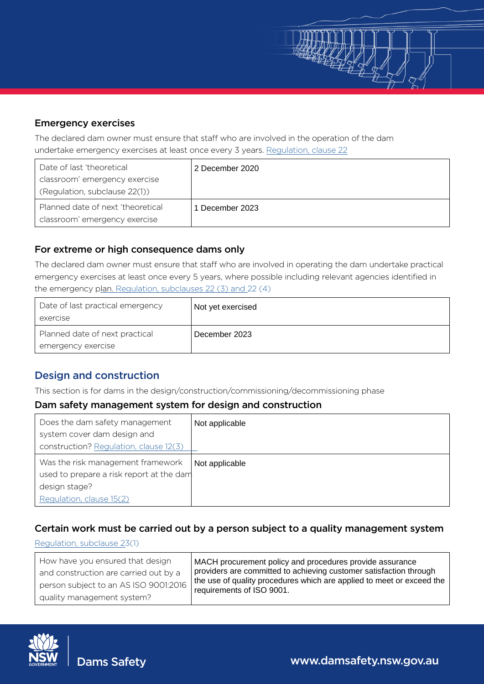## Emergency exercises

The declared dam owner must ensure that staff who are involved in the operation of the dam undertake emergency exercises at least once every 3 years. [Regulation](https://legislation.nsw.gov.au/view/html/inforce/current/sl-2019-0506#sec.22)[,](https://legislation.nsw.gov.au/view/html/inforce/current/sl-2019-0506#sec.20) clause 22

| Date of last 'theoretical         | 2 December 2020 |
|-----------------------------------|-----------------|
| classroom' emergency exercise     |                 |
| (Regulation, subclause 22(1))     |                 |
| Planned date of next 'theoretical | 1 December 2023 |
| classroom' emergency exercise     |                 |

## For extreme or high consequence dams only

| Date of last practical emergency | Not yet exercised |
|----------------------------------|-------------------|
| exercise                         |                   |
| Planned date of next practical   | December 2023     |
| emergency exercise               |                   |

# Design and construction

## Dam safety management system for design and construction

| Date of last 'theoretical<br>classroom' emergency exercise<br>(Regulation, subclause 22(1))                                                      | 2 December 2020                                                                                                                                                                                                                      |
|--------------------------------------------------------------------------------------------------------------------------------------------------|--------------------------------------------------------------------------------------------------------------------------------------------------------------------------------------------------------------------------------------|
| Planned date of next 'theoretical<br>classroom' emergency exercise                                                                               | 1 December 2023                                                                                                                                                                                                                      |
| For extreme or high consequence dams only<br>the emergency plan. Regulation, subclauses 22 (3) and 22 (4)                                        | The declared dam owner must ensure that staff who are involved in operating the dam undertake practical<br>emergency exercises at least once every 5 years, where possible including relevant agencies identified in                 |
| Date of last practical emergency<br>exercise                                                                                                     | Not yet exercised                                                                                                                                                                                                                    |
| Planned date of next practical<br>emergency exercise                                                                                             | December 2023                                                                                                                                                                                                                        |
| <b>Design and construction</b><br>Dam safety management system for design and construction<br>Does the dam safety management                     | This section is for dams in the design/construction/commissioning/decommissioning phase<br>Not applicable                                                                                                                            |
|                                                                                                                                                  |                                                                                                                                                                                                                                      |
| system cover dam design and<br>construction? Regulation, clause 12(3)                                                                            |                                                                                                                                                                                                                                      |
| Was the risk management framework<br>used to prepare a risk report at the dam<br>design stage?<br>Regulation, clause 15(2)                       | Not applicable                                                                                                                                                                                                                       |
| Regulation, subclause 23(1)                                                                                                                      | Certain work must be carried out by a person subject to a quality management system                                                                                                                                                  |
| How have you ensured that design<br>and construction are carried out by a<br>person subject to an AS ISO 9001:2016<br>quality management system? | MACH procurement policy and procedures provide assurance<br>providers are committed to achieving customer satisfaction through<br>the use of quality procedures which are applied to meet or exceed the<br>requirements of ISO 9001. |
|                                                                                                                                                  |                                                                                                                                                                                                                                      |
| <b>Dams Safety</b>                                                                                                                               | www.damsafety.nsw.gov.au                                                                                                                                                                                                             |

## Certain work must be carried out by a person subject to a quality management system

#### [Regulation](https://legislation.nsw.gov.au/view/html/inforce/current/sl-2019-0506#sec.23]), subclause 2[3](https://legislation.nsw.gov.au/view/html/inforce/current/sl-2019-0506#sec.20)(1)

| How have you ensured that design<br>and construction are carried out by a<br>person subject to an AS ISO 9001:2016 | MACH procurement policy and procedures provide assurance<br>providers are committed to achieving customer satisfaction through<br>the use of quality procedures which are applied to meet or exceed the<br>requirements of ISO 9001. |
|--------------------------------------------------------------------------------------------------------------------|--------------------------------------------------------------------------------------------------------------------------------------------------------------------------------------------------------------------------------------|
| quality management system?                                                                                         |                                                                                                                                                                                                                                      |

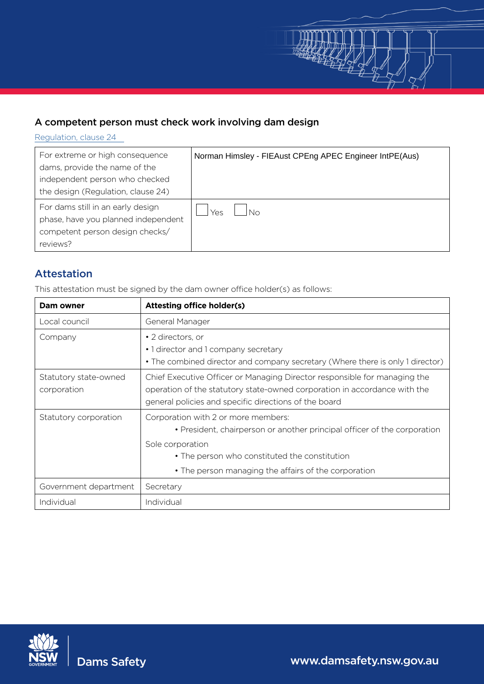

# A competent person must check work involving dam design

[Regulation](https://legislation.nsw.gov.au/view/html/inforce/current/sl-2019-0506#sec.24]), clause 24

| For extreme or high consequence<br>dams, provide the name of the<br>independent person who checked<br>the design (Regulation, clause 24) | Norman Himsley - FIEAust CPEng APEC Engineer IntPE(Aus) |
|------------------------------------------------------------------------------------------------------------------------------------------|---------------------------------------------------------|
| For dams still in an early design<br>phase, have you planned independent<br>competent person design checks/<br>reviews?                  | Yes                                                     |

# Attestation

This attestation must be signed by the dam owner office holder(s) as follows:

| Dam owner                            | <b>Attesting office holder(s)</b>                                                                                                                                                                                                            |
|--------------------------------------|----------------------------------------------------------------------------------------------------------------------------------------------------------------------------------------------------------------------------------------------|
| Local council                        | General Manager                                                                                                                                                                                                                              |
| Company                              | • 2 directors, or<br>• 1 director and 1 company secretary<br>• The combined director and company secretary (Where there is only 1 director)                                                                                                  |
| Statutory state-owned<br>corporation | Chief Executive Officer or Managing Director responsible for managing the<br>operation of the statutory state-owned corporation in accordance with the<br>general policies and specific directions of the board                              |
| Statutory corporation                | Corporation with 2 or more members:<br>• President, chairperson or another principal officer of the corporation<br>Sole corporation<br>• The person who constituted the constitution<br>• The person managing the affairs of the corporation |
| Government department                | Secretary                                                                                                                                                                                                                                    |
| Individual                           | Individual                                                                                                                                                                                                                                   |



Dams Safety www.damsafety.nsw.gov.au